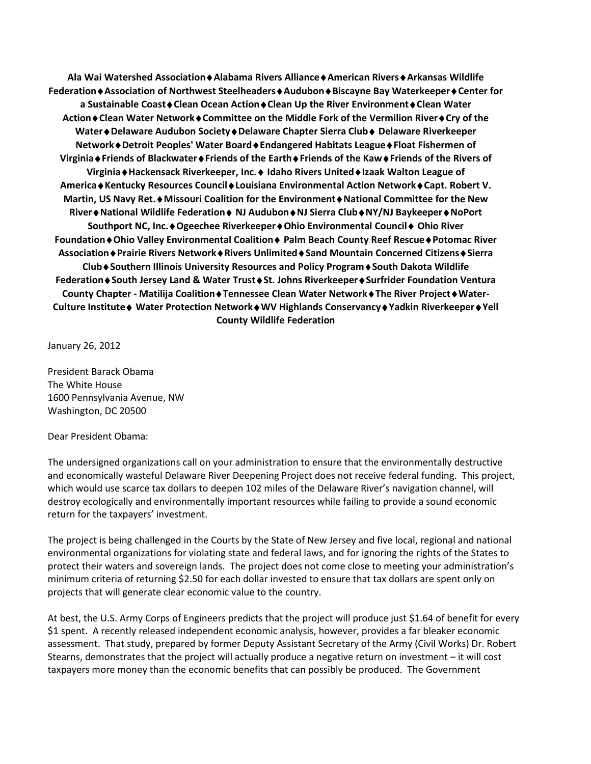**Ala Wai Watershed Association**♦**Alabama Rivers Alliance**♦**American Rivers**♦**Arkansas Wildlife Federation**♦**Association of Northwest Steelheaders**♦**Audubon**♦**Biscayne Bay Waterkeeper**♦**Center for a Sustainable Coast**♦**Clean Ocean Action**♦**Clean Up the River Environment**♦**Clean Water Action**♦**Clean Water Network**♦**Committee on the Middle Fork of the Vermilion River**♦**Cry of the Water**♦**Delaware Audubon Society**♦**Delaware Chapter Sierra Club**♦ **Delaware Riverkeeper Network**♦**Detroit Peoples' Water Board**♦**Endangered Habitats League**♦**Float Fishermen of Virginia**♦**Friends of Blackwater**♦**Friends of the Earth**♦**Friends of the Kaw**♦**Friends of the Rivers of Virginia**♦**Hackensack Riverkeeper, Inc.**♦ **Idaho Rivers United**♦**Izaak Walton League of America**♦**Kentucky Resources Council**♦**Louisiana Environmental Action Network**♦**Capt. Robert V. Martin, US Navy Ret.**♦**Missouri Coalition for the Environment**♦**National Committee for the New River**♦**National Wildlife Federation**♦ **NJ Audubon**♦**NJ Sierra Club**♦**NY/NJ Baykeeper**♦**NoPort Southport NC, Inc.**♦**Ogeechee Riverkeeper**♦**Ohio Environmental Council**♦ **Ohio River Foundation**♦**Ohio Valley Environmental Coalition**♦ **Palm Beach County Reef Rescue**♦**Potomac River Association**♦**Prairie Rivers Network**♦**Rivers Unlimited**♦**Sand Mountain Concerned Citizens**♦**Sierra Club**♦**Southern Illinois University Resources and Policy Program**♦**South Dakota Wildlife Federation**♦**South Jersey Land & Water Trust**♦**St. Johns Riverkeeper**♦**Surfrider Foundation Ventura County Chapter - Matilija Coalition**♦**Tennessee Clean Water Network**♦**The River Project**♦**Water-Culture Institute**♦ **Water Protection Network**♦**WV Highlands Conservancy**♦**Yadkin Riverkeeper**♦**Yell County Wildlife Federation**

January 26, 2012

President Barack Obama The White House 1600 Pennsylvania Avenue, NW Washington, DC 20500

## Dear President Obama:

The undersigned organizations call on your administration to ensure that the environmentally destructive and economically wasteful Delaware River Deepening Project does not receive federal funding. This project, which would use scarce tax dollars to deepen 102 miles of the Delaware River's navigation channel, will destroy ecologically and environmentally important resources while failing to provide a sound economic return for the taxpayers' investment.

The project is being challenged in the Courts by the State of New Jersey and five local, regional and national environmental organizations for violating state and federal laws, and for ignoring the rights of the States to protect their waters and sovereign lands. The project does not come close to meeting your administration's minimum criteria of returning \$2.50 for each dollar invested to ensure that tax dollars are spent only on projects that will generate clear economic value to the country.

At best, the U.S. Army Corps of Engineers predicts that the project will produce just \$1.64 of benefit for every \$1 spent. A recently released independent economic analysis, however, provides a far bleaker economic assessment. That study, prepared by former Deputy Assistant Secretary of the Army (Civil Works) Dr. Robert Stearns, demonstrates that the project will actually produce a negative return on investment – it will cost taxpayers more money than the economic benefits that can possibly be produced. The Government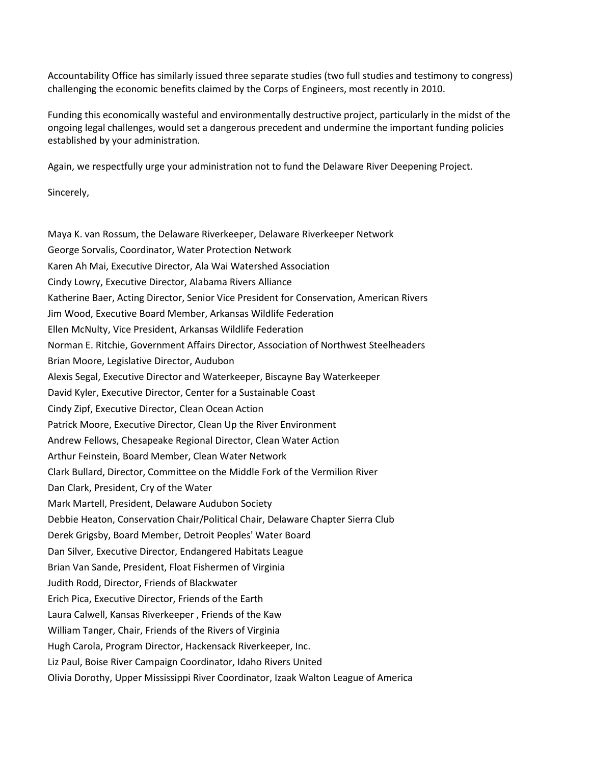Accountability Office has similarly issued three separate studies (two full studies and testimony to congress) challenging the economic benefits claimed by the Corps of Engineers, most recently in 2010.

Funding this economically wasteful and environmentally destructive project, particularly in the midst of the ongoing legal challenges, would set a dangerous precedent and undermine the important funding policies established by your administration.

Again, we respectfully urge your administration not to fund the Delaware River Deepening Project.

Sincerely,

Maya K. van Rossum, the Delaware Riverkeeper, Delaware Riverkeeper Network George Sorvalis, Coordinator, Water Protection Network Karen Ah Mai, Executive Director, Ala Wai Watershed Association Cindy Lowry, Executive Director, Alabama Rivers Alliance Katherine Baer, Acting Director, Senior Vice President for Conservation, American Rivers Jim Wood, Executive Board Member, Arkansas Wildlife Federation Ellen McNulty, Vice President, Arkansas Wildlife Federation Norman E. Ritchie, Government Affairs Director, Association of Northwest Steelheaders Brian Moore, Legislative Director, Audubon Alexis Segal, Executive Director and Waterkeeper, Biscayne Bay Waterkeeper David Kyler, Executive Director, Center for a Sustainable Coast Cindy Zipf, Executive Director, Clean Ocean Action Patrick Moore, Executive Director, Clean Up the River Environment Andrew Fellows, Chesapeake Regional Director, Clean Water Action Arthur Feinstein, Board Member, Clean Water Network Clark Bullard, Director, Committee on the Middle Fork of the Vermilion River Dan Clark, President, Cry of the Water Mark Martell, President, Delaware Audubon Society Debbie Heaton, Conservation Chair/Political Chair, Delaware Chapter Sierra Club Derek Grigsby, Board Member, Detroit Peoples' Water Board Dan Silver, Executive Director, Endangered Habitats League Brian Van Sande, President, Float Fishermen of Virginia Judith Rodd, Director, Friends of Blackwater Erich Pica, Executive Director, Friends of the Earth Laura Calwell, Kansas Riverkeeper , Friends of the Kaw William Tanger, Chair, Friends of the Rivers of Virginia Hugh Carola, Program Director, Hackensack Riverkeeper, Inc. Liz Paul, Boise River Campaign Coordinator, Idaho Rivers United Olivia Dorothy, Upper Mississippi River Coordinator, Izaak Walton League of America